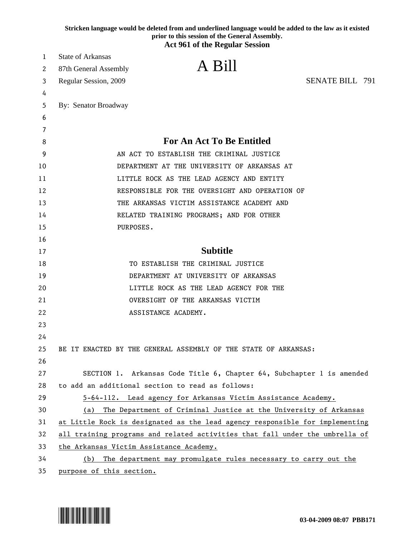|    | Stricken language would be deleted from and underlined language would be added to the law as it existed<br>prior to this session of the General Assembly.<br><b>Act 961 of the Regular Session</b> |  |
|----|----------------------------------------------------------------------------------------------------------------------------------------------------------------------------------------------------|--|
| 1  | <b>State of Arkansas</b>                                                                                                                                                                           |  |
| 2  | A Bill<br>87th General Assembly                                                                                                                                                                    |  |
| 3  | <b>SENATE BILL 791</b><br>Regular Session, 2009                                                                                                                                                    |  |
| 4  |                                                                                                                                                                                                    |  |
| 5  | By: Senator Broadway                                                                                                                                                                               |  |
| 6  |                                                                                                                                                                                                    |  |
| 7  |                                                                                                                                                                                                    |  |
| 8  | <b>For An Act To Be Entitled</b>                                                                                                                                                                   |  |
| 9  | AN ACT TO ESTABLISH THE CRIMINAL JUSTICE                                                                                                                                                           |  |
| 10 | DEPARTMENT AT THE UNIVERSITY OF ARKANSAS AT                                                                                                                                                        |  |
| 11 | LITTLE ROCK AS THE LEAD AGENCY AND ENTITY                                                                                                                                                          |  |
| 12 | RESPONSIBLE FOR THE OVERSIGHT AND OPERATION OF                                                                                                                                                     |  |
| 13 | THE ARKANSAS VICTIM ASSISTANCE ACADEMY AND                                                                                                                                                         |  |
| 14 | RELATED TRAINING PROGRAMS; AND FOR OTHER                                                                                                                                                           |  |
| 15 | PURPOSES.                                                                                                                                                                                          |  |
| 16 |                                                                                                                                                                                                    |  |
| 17 | <b>Subtitle</b>                                                                                                                                                                                    |  |
| 18 | TO ESTABLISH THE CRIMINAL JUSTICE                                                                                                                                                                  |  |
| 19 | DEPARTMENT AT UNIVERSITY OF ARKANSAS                                                                                                                                                               |  |
| 20 | LITTLE ROCK AS THE LEAD AGENCY FOR THE                                                                                                                                                             |  |
| 21 | OVERSIGHT OF THE ARKANSAS VICTIM                                                                                                                                                                   |  |
| 22 | ASSISTANCE ACADEMY.                                                                                                                                                                                |  |
| 23 |                                                                                                                                                                                                    |  |
| 24 |                                                                                                                                                                                                    |  |
| 25 | BE IT ENACTED BY THE GENERAL ASSEMBLY OF THE STATE OF ARKANSAS:                                                                                                                                    |  |
| 26 |                                                                                                                                                                                                    |  |
| 27 | SECTION 1. Arkansas Code Title 6, Chapter 64, Subchapter 1 is amended                                                                                                                              |  |
| 28 | to add an additional section to read as follows:                                                                                                                                                   |  |
| 29 | 5-64-112. Lead agency for Arkansas Victim Assistance Academy.                                                                                                                                      |  |
| 30 | The Department of Criminal Justice at the University of Arkansas<br>(a)                                                                                                                            |  |
| 31 | at Little Rock is designated as the lead agency responsible for implementing                                                                                                                       |  |
| 32 | all training programs and related activities that fall under the umbrella of                                                                                                                       |  |
| 33 | the Arkansas Victim Assistance Academy.                                                                                                                                                            |  |
| 34 | (b) The department may promulgate rules necessary to carry out the                                                                                                                                 |  |
| 35 | purpose of this section.                                                                                                                                                                           |  |